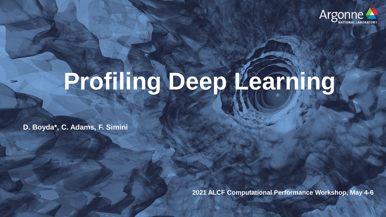

## **Profiling Deep Learning**

**D. Boyda\*, C. Adams, F. Simini**

**2021 ALCF Computational Performance Workshop, May 4-6**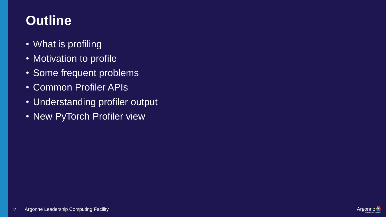## **Outline**

- What is profiling
- Motivation to profile
- Some frequent problems
- Common Profiler APIs
- Understanding profiler output
- New PyTorch Profiler view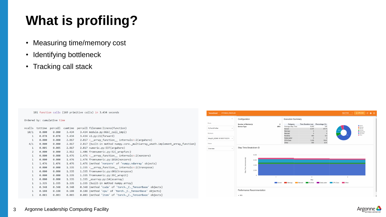## **What is profiling?**

- Measuring time/memory cost
- Identifying bottleneck
- Tracking call stack

181 function calls (169 primitive calls) in 3.434 seconds Ordered by: cumulative time percall filename: lineno(function)  $ncalls$ tottime percall cumtime 0.000 0.000 3.434 3.434 module.py:866( call impl)  $10/1$ 0.078 0.078 3.434 3.434 v2.py:21(forward)  $\mathbf{1}$ 0.000 0.000 2.817 2.817 < array function internals>:2(argwhere)  $\mathbf{1}$ 2.817 {built-in method numpy.core. multiarray umath.implement array function}  $4/1$ 0.000 0.000 2.817 0.005 0.005 2.817 2.817 numeric.py:537(argwhere)  $\mathbf{1}$ 2.812 1.406 fromnumeric.py:52( wrapfunc)  $\overline{2}$ 0.000 0.000 0.000 0.000 1.476 1.476 <\_ array\_function\_ internals>:2(nonzero) 1 0.000 0.000 1.476 1.476 fromnumeric.py:1816(nonzero)  $\mathbf{1}$  $\mathbf{1}$ 1.476 1.476 1.476 1.476 {method 'nonzero' of 'numpy.ndarray' objects} 0.000 1.335 1.335 < array function internals>:2(transpose) 0.000 1 1.335 1.335 fromnumeric.py:601(transpose)  $\mathbf{1}$ 0.000 0.000 0.000 0.000 1.335 1.335 fromnumeric.py:39(\_wrapit)  $\mathbf{1}$ 0.000 0.000 1.335 1.335 \_asarray.py:14(asarray)  $\mathbf{1}$  $\mathbf{1}$ 1.335 1.335 1.335 1.335 {built-in method numpy.array} 0.348 {method 'cuda' of 'torch. C. TensorBase' objects} 0.348  $\mathbf{1}$ 0.348 0.348 0.188 0.188 0.188 0.188 {method 'cpu' of 'torch. C. TensorBase' objects}  $\mathbf{1}$  $\mathbf{1}$ 0.003 0.003 0.003 0.003 {method 'item' of 'torch. C. TensorBase' objects}



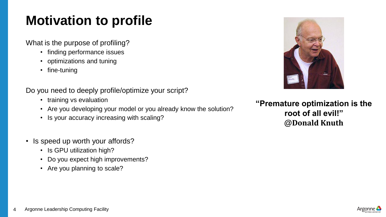## **Motivation to profile**

What is the purpose of profiling?

- finding performance issues
- optimizations and tuning
- fine-tuning

Do you need to deeply profile/optimize your script?

- training vs evaluation
- Are you developing your model or you already know the solution?
- Is your accuracy increasing with scaling?
- Is speed up worth your affords?
	- Is GPU utilization high?
	- Do you expect high improvements?
	- Are you planning to scale?



**"Premature optimization is the root of all evil!" @Donald Knuth**

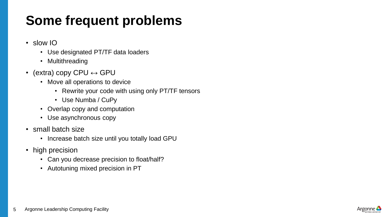## **Some frequent problems**

- slow IO
	- Use designated PT/TF data loaders
	- Multithreading
- (extra) copy CPU  $\leftrightarrow$  GPU
	- Move all operations to device
		- Rewrite your code with using only PT/TF tensors
		- Use Numba / CuPy
	- Overlap copy and computation
	- Use asynchronous copy
- small batch size
	- Increase batch size until you totally load GPU
- high precision
	- Can you decrease precision to float/half?
	- Autotuning mixed precision in PT

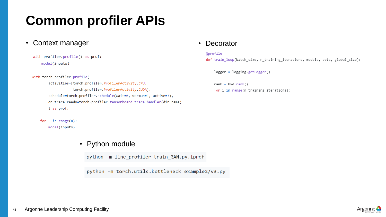## **Common profiler APIs**

• Context manager **• Decorator** 

```
with profiler.profile() as prof:
model(inputs)
```

```
with torch.profiler.profile(
    activities=[torch.profiler.ProfilerActivity.CPU,
                torch.profiler.ProfilerActivity.CUDA],
    schedule=torch.profiler.schedule(wait=0, warmup=1, active=3),
    on_trace_ready=torch.profiler.tensorboard_trace_handler(dir_name)
    ) as prof:
```

```
for \_ in range(8):
model(inputs)
```
#### • Python module

python -m line\_profiler train\_GAN.py.lprof

python -m torch.utils.bottleneck example2/v3.py

#### @profile

def train loop(batch size, n training iterations, models, opts, global size):

logger = logging.getLogger()

 $rank = hvdcdotrank()$ for i in range(n\_training\_iterations):

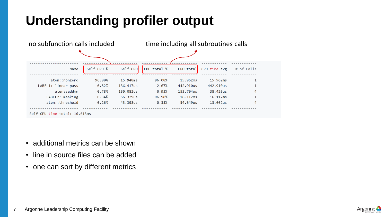## **Understanding profiler output**



- additional metrics can be shown
- line in source files can be added
- one can sort by different metrics

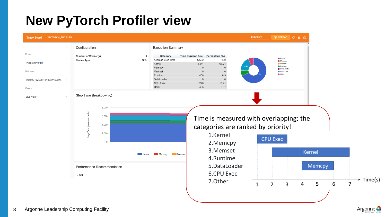### **New PyTorch Profiler view**



Argonne <del>-</del>